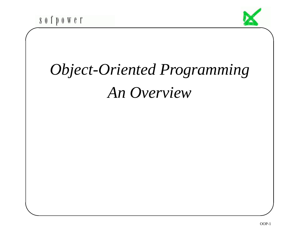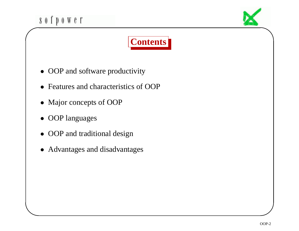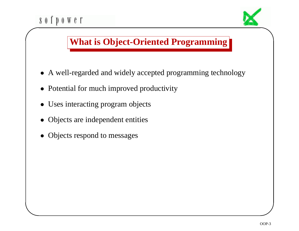

 $\setminus$ 

 $\mathcal{S}$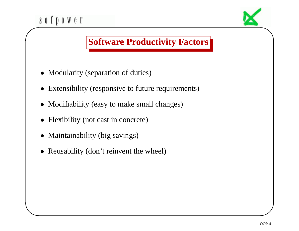

• Maintainability (big savings)

 $\setminus$ 

• Reusability (don't reinvent the wheel)

 $\mathcal{S}$ 

 $\bigwedge$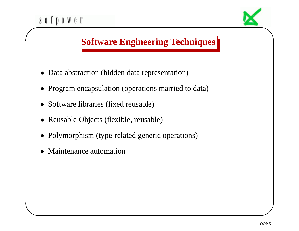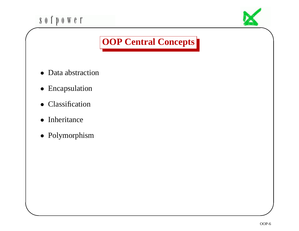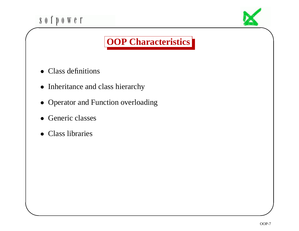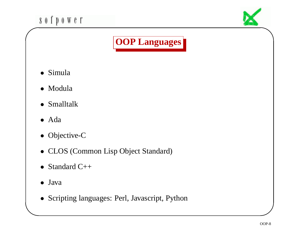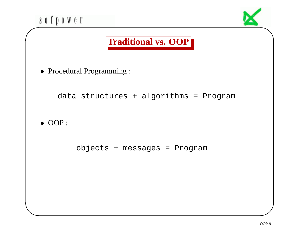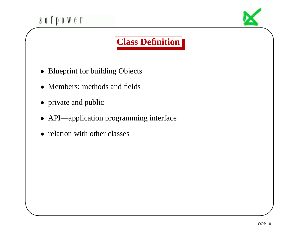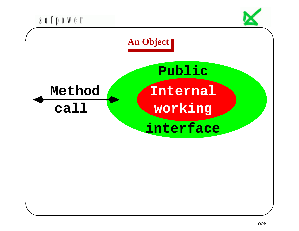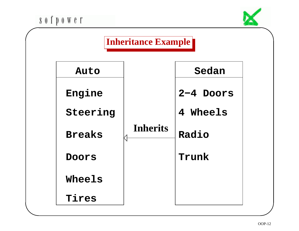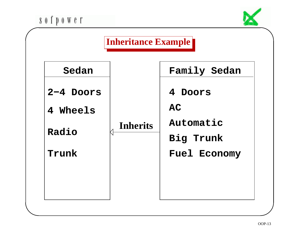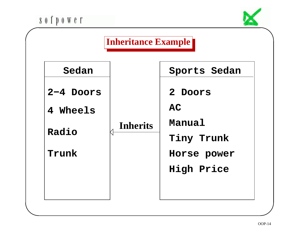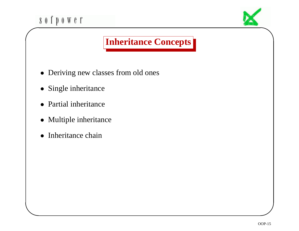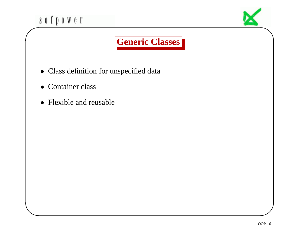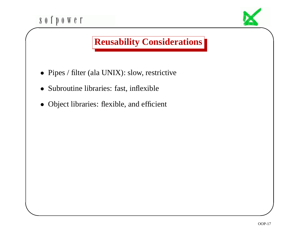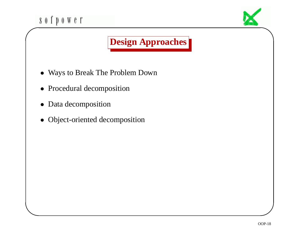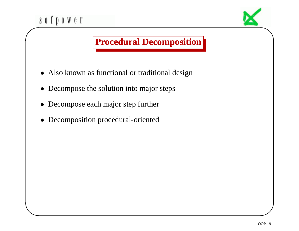## sofpower  $\bigg($

 $\setminus$ 



## **Procedural Decomposition**

- Also known as functional or traditional design
- Decompose the solution into major steps
- Decompose each major step further
- Decomposition procedural-oriented

 $\mathcal{S}$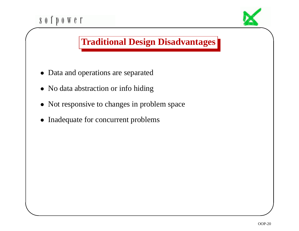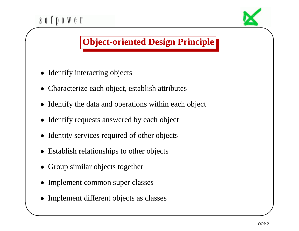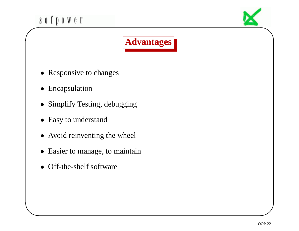